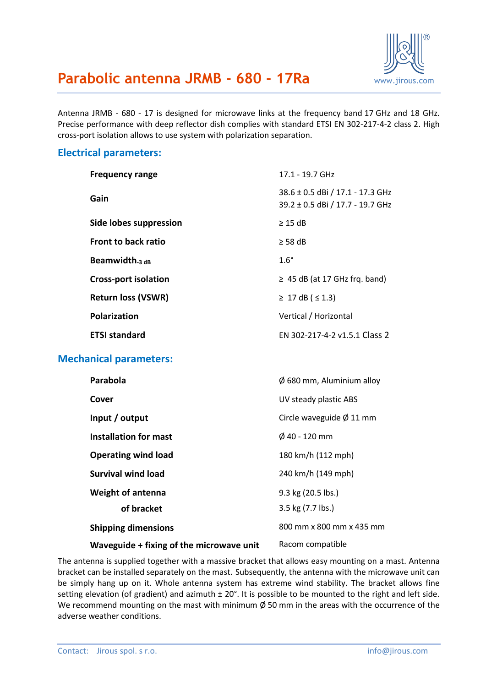

# **Parabolic antenna JRMB - 680 - 17Ra** [www.jirous.com](http://www.jirous.com/)

Antenna JRMB - 680 - 17 is designed for microwave links at the frequency band 17 GHz and 18 GHz. Precise performance with deep reflector dish complies with standard ETSI EN 302-217-4-2 class 2. High cross-port isolation allows to use system with polarization separation.

### **Electrical parameters:**

| <b>Frequency range</b>      | 17.1 - 19.7 GHz                                                      |
|-----------------------------|----------------------------------------------------------------------|
| Gain                        | 38.6 ± 0.5 dBi / 17.1 - 17.3 GHz<br>39.2 ± 0.5 dBi / 17.7 - 19.7 GHz |
| Side lobes suppression      | $\geq$ 15 dB                                                         |
| <b>Front to back ratio</b>  | $\geq$ 58 dB                                                         |
| Beamwidth $_3$ $_{dB}$      | $1.6^\circ$                                                          |
| <b>Cross-port isolation</b> | $\geq$ 45 dB (at 17 GHz frg. band)                                   |
| <b>Return loss (VSWR)</b>   | ≥ 17 dB (≤ 1.3)                                                      |
| Polarization                | Vertical / Horizontal                                                |
| <b>ETSI standard</b>        | FN 302-217-4-2 v1.5.1 Class 2                                        |

#### **Mechanical parameters:**

| Parabola                                 | $\varnothing$ 680 mm, Aluminium alloy |
|------------------------------------------|---------------------------------------|
| Cover                                    | UV steady plastic ABS                 |
| Input / output                           | Circle waveguide $\varnothing$ 11 mm  |
| Installation for mast                    | $\emptyset$ 40 - 120 mm               |
| <b>Operating wind load</b>               | 180 km/h (112 mph)                    |
| <b>Survival wind load</b>                | 240 km/h (149 mph)                    |
| <b>Weight of antenna</b>                 | 9.3 kg (20.5 lbs.)                    |
| of bracket                               | 3.5 kg (7.7 lbs.)                     |
| <b>Shipping dimensions</b>               | 800 mm x 800 mm x 435 mm              |
| Waveguide + fixing of the microwave unit | Racom compatible                      |

The antenna is supplied together with a massive bracket that allows easy mounting on a mast. Antenna bracket can be installed separately on the mast. Subsequently, the antenna with the microwave unit can be simply hang up on it. Whole antenna system has extreme wind stability. The bracket allows fine setting elevation (of gradient) and azimuth  $\pm 20^{\circ}$ . It is possible to be mounted to the right and left side. We recommend mounting on the mast with minimum  $\emptyset$  50 mm in the areas with the occurrence of the adverse weather conditions.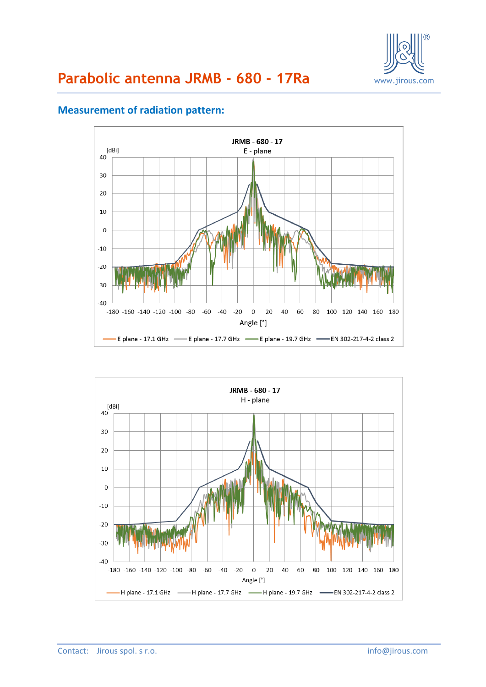



## **Measurement of radiation pattern:**